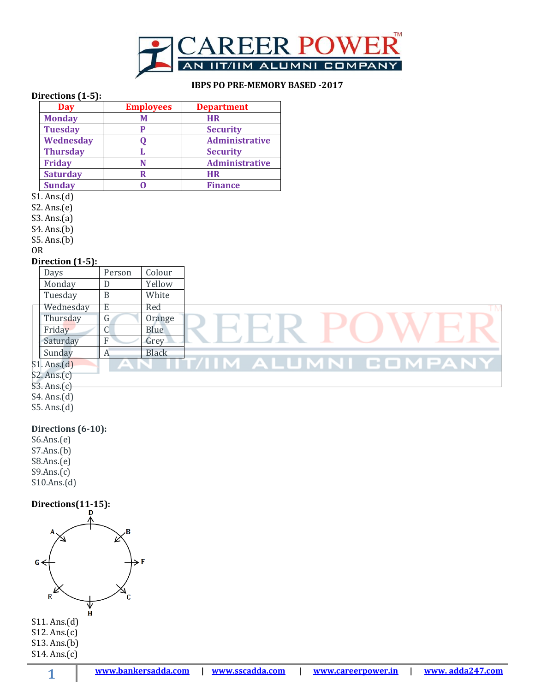

## **IBPS PO PRE-MEMORY BASED -2017**

### **Directions (1-5):**

| Day             | <b>Employees</b> | <b>Department</b>     |  |
|-----------------|------------------|-----------------------|--|
| <b>Monday</b>   | Μ                | <b>HR</b>             |  |
| <b>Tuesday</b>  | P                | <b>Security</b>       |  |
| Wednesday       |                  | Administrative        |  |
| <b>Thursday</b> |                  | <b>Security</b>       |  |
| <b>Friday</b>   |                  | <b>Administrative</b> |  |
| <b>Saturday</b> | R                | <b>HR</b>             |  |
| <b>Sunday</b>   |                  | <b>Finance</b>        |  |

 $\overline{\text{S1. Ans}}$  $(d)$ 

S2. Ans.(e)

S3. Ans.(a)

S4. Ans.(b)

S5. Ans.(b)

OR

#### **Direction (1-5):**

| Days      | Person       | Colour       |                  |
|-----------|--------------|--------------|------------------|
| Monday    |              | Yellow       |                  |
| Tuesday   | B            | White        |                  |
| Wednesday | Ε            | Red          | ΤM               |
| Thursday  | $\mathsf{G}$ | Orange       |                  |
| Friday    | U            | Blue         |                  |
| Saturday  | F            | Grey         |                  |
| Sunday    | A            | <b>Black</b> |                  |
| . Ans.(d) |              |              | COMPAI<br>ALUMNI |

S1. Ans.(d) S2. Ans.(c)

S3. Ans.(c)

S4. Ans.(d)

S5. Ans.(d)

## **Directions (6-10):**

S6.Ans.(e) S7.Ans.(b) S8.Ans.(e)  $S9.Ans.(c)$ S10.Ans.(d)

**1**

**Directions(11-15):**

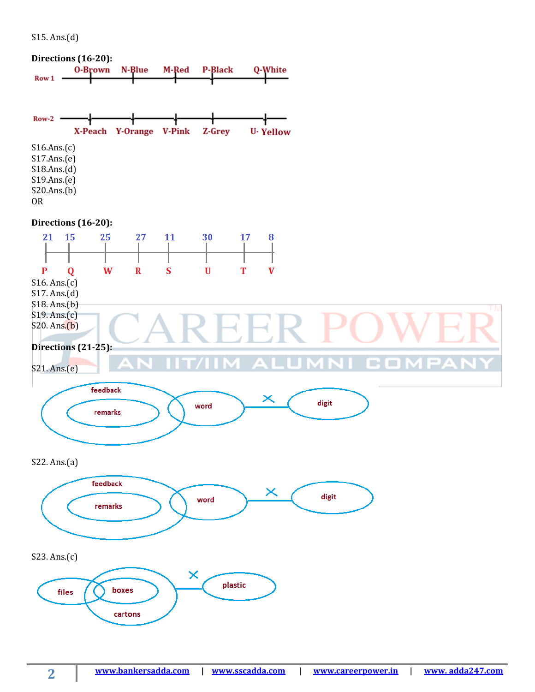S15. Ans.(d)

**2**

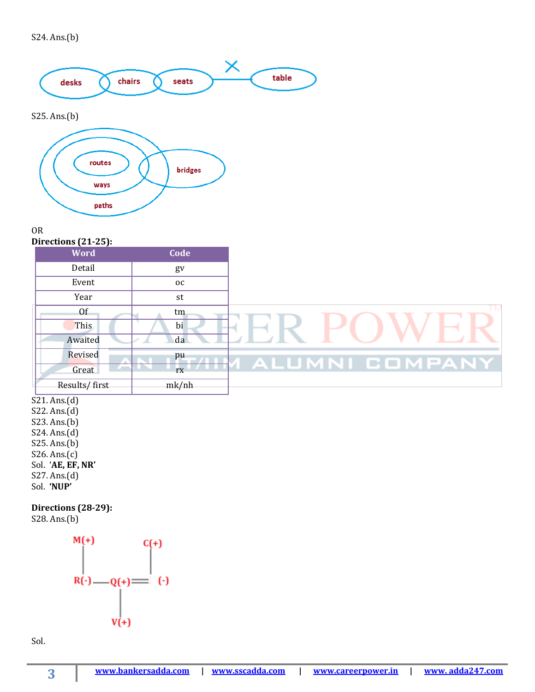

# S25. Ans.(b)



## OR

**Directions (21-25):**

| <b>Word</b>   | Code      |
|---------------|-----------|
| Detail        | gv        |
| Event         | <b>OC</b> |
| Year          | st        |
| Of            | tm        |
| This          | bi        |
| Awaited       | da        |
| Revised       | pu        |
| Great         | rx        |
| Results/first | mk/nh     |

 $S21. Ans.(d)$ S22. Ans.(d)

S23. Ans.(b) S24. Ans.(d) S25. Ans.(b) S26. Ans.(c) Sol. '**AE, EF, NR'** S27. Ans.(d) Sol. **'NUP'**

**Directions (28-29):**

S28. Ans.(b)



Sol.